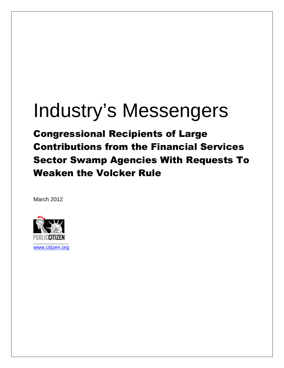# Industry's Messengers

Congressional Recipients of Large Contributions from the Financial Services Sector Swamp Agencies With Requests To Weaken the Volcker Rule

March 2012



www.citizen.org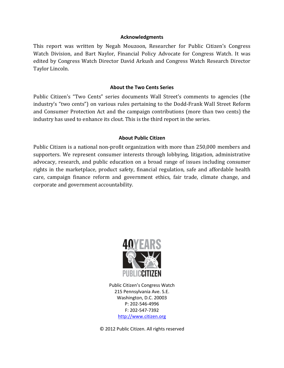#### **Acknowledgments**

This report was written by Negah Mouzoon, Researcher for Public Citizen's Congress Watch Division, and Bart Naylor, Financial Policy Advocate for Congress Watch. It was edited by Congress Watch Director David Arkush and Congress Watch Research Director Taylor Lincoln.

#### **About the Two Cents Series**

Public Citizen's "Two Cents" series documents Wall Street's comments to agencies (the industry's "two cents") on various rules pertaining to the Dodd-Frank Wall Street Reform and Consumer Protection Act and the campaign contributions (more than two cents) the industry has used to enhance its clout. This is the third report in the series.

#### **About Public Citizen**

Public Citizen is a national non-profit organization with more than 250,000 members and supporters. We represent consumer interests through lobbying, litigation, administrative advocacy, research, and public education on a broad range of issues including consumer rights in the marketplace, product safety, financial regulation, safe and affordable health care, campaign finance reform and government ethics, fair trade, climate change, and corporate and government accountability.



Public Citizen's Congress Watch 215 Pennsylvania Ave. S.E. Washington, D.C. 20003 P: 202-546-4996 F: 202-547-7392 http://www.citizen.org

© 2012 Public Citizen. All rights reserved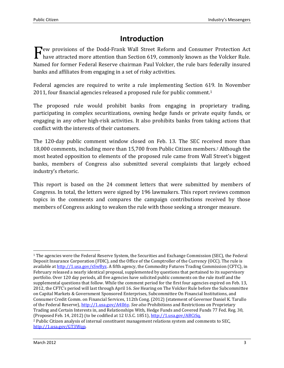### **Introduction**

ew provisions of the Dodd-Frank Wall Street Reform and Consumer Protection Act  $\Gamma$ ew provisions of the Dodd-Frank Wall Street Reform and Consumer Protection Act have attracted more attention than Section 619, commonly known as the Volcker Rule. Named for former Federal Reserve chairman Paul Volcker, the rule bars federally insured banks and affiliates from engaging in a set of risky activities.

Federal agencies are required to write a rule implementing Section 619. In November 2011, four financial agencies released a proposed rule for public comment.<sup>1</sup>

The proposed rule would prohibit banks from engaging in proprietary trading, participating in complex securitizations, owning hedge funds or private equity funds, or engaging in any other high-risk activities. It also prohibits banks from taking actions that conflict with the interests of their customers.

The 120-day public comment window closed on Feb. 13. The SEC received more than 18,000 comments, including more than 15,700 from Public Citizen members.2 Although the most heated opposition to elements of the proposed rule came from Wall Street's biggest banks, members of Congress also submitted several complaints that largely echoed industry's rhetoric.

This report is based on the 24 comment letters that were submitted by members of Congress. In total, the letters were signed by 196 lawmakers. This report reviews common topics in the comments and compares the campaign contributions received by those members of Congress asking to weaken the rule with those seeking a stronger measure.

 $\overline{a}$ <sup>1</sup> The agencies were the Federal Reserve System, the Securities and Exchange Commission (SEC), the Federal Deposit Insurance Corporation (FDIC), and the Office of the Comptroller of the Currency (OCC). The rule is available at http://1.usa.gov/sSwByz. A fifth agency, the Commodity Futures Trading Commission (CFTC), in February released a nearly identical proposal, supplemented by questions that pertained to its supervisory portfolio. Over 120 day periods, all five agencies have solicited public comments on the rule itself and the supplemental questions that follow. While the comment period for the first four agencies expired on Feb. 13, 2012, the CFTC's period will last through April 16. *See* Hearing on The Volcker Rule before the Subcommittee on Capital Markets & Government Sponsored Enterprises, Subcommittee On Financial Institutions, and Consumer Credit Comm. on Financial Services, 112th Cong. (2012) (statement of Governor Daniel K. Tarullo of the Federal Reserve), http://1.usa.gov/A4Il6y. *See also* Prohibitions and Restrictions on Proprietary Trading and Certain Interests in, and Relationships With, Hedge Funds and Covered Funds 77 Fed. Reg. 30, (Proposed Feb. 14, 2012) (to be codified at 12 U.S.C. 1851), http://1.usa.gov/ABCiSq.

<sup>2</sup> Public Citizen analysis of internal constituent management relations system and comments to SEC, http://1.usa.gov/GT3Wqp.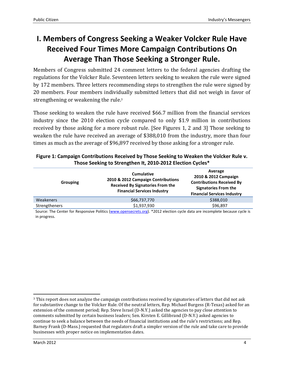### **I. Members of Congress Seeking a Weaker Volcker Rule Have Received Four Times More Campaign Contributions On Average Than Those Seeking a Stronger Rule.**

Members of Congress submitted 24 comment letters to the federal agencies drafting the regulations for the Volcker Rule. Seventeen letters seeking to weaken the rule were signed by 172 members. Three letters recommending steps to strengthen the rule were signed by 20 members. Four members individually submitted letters that did not weigh in favor of strengthening or weakening the rule.<sup>3</sup>

Those seeking to weaken the rule have received \$66.7 million from the financial services industry since the 2010 election cycle compared to only \$1.9 million in contributions received by those asking for a more robust rule. [See Figures 1, 2 and 3] Those seeking to weaken the rule have received an average of \$388,010 from the industry, more than four times as much as the average of \$96,897 received by those asking for a stronger rule.

| Grouping      | <b>Cumulative</b><br>2010 & 2012 Campaign Contributions<br><b>Received By Signatories From the</b><br><b>Financial Services Industry</b> | Average<br>2010 & 2012 Campaign<br><b>Contributions Received By</b><br><b>Signatories From the</b><br><b>Financial Services Industry</b> |
|---------------|------------------------------------------------------------------------------------------------------------------------------------------|------------------------------------------------------------------------------------------------------------------------------------------|
| Weakeners     | \$66,737,770                                                                                                                             | \$388,010                                                                                                                                |
| Strengtheners | \$1,937,930                                                                                                                              | \$96,897                                                                                                                                 |

#### **Figure 1: Campaign Contributions Received by Those Seeking to Weaken the Volcker Rule v. Those Seeking to Strengthen It, 2010-2012 Election Cycles\***

Source: The Center for Responsive Politics (www.opensecrets.org). \*2012 election cycle data are incomplete because cycle is in progress.

 $\overline{a}$ 

<sup>&</sup>lt;sup>3</sup> This report does not analyze the campaign contributions received by signatories of letters that did not ask for substantive change to the Volcker Rule. Of the neutral letters, Rep. Michael Burgess (R-Texas) asked for an extension of the comment period; Rep. Steve Israel (D-N.Y.) asked the agencies to pay close attention to comments submitted by certain business leaders; Sen. Kirsten E. Gillibrand (D-N.Y.) asked agencies to continue to seek a balance between the needs of financial institutions and the rule's restrictions; and Rep. Barney Frank (D-Mass.) requested that regulators draft a simpler version of the rule and take care to provide businesses with proper notice on implementation dates.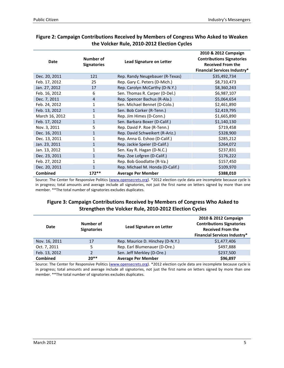| <b>Date</b>     | Number of<br><b>Signatories</b> | <b>Lead Signature on Letter</b>  | 2010 & 2012 Campaign<br><b>Contributions Signatories</b><br><b>Received From the</b><br><b>Financial Services Industry*</b> |
|-----------------|---------------------------------|----------------------------------|-----------------------------------------------------------------------------------------------------------------------------|
| Dec. 20, 2011   | 121                             | Rep. Randy Neugebauer (R-Texas)  | \$35,492,734                                                                                                                |
| Feb. 17, 2012   | 25                              | Rep. Gary C. Peters (D-Mich.)    | \$8,710,473                                                                                                                 |
| Jan. 27, 2012   | 17                              | Rep. Carolyn McCarthy (D-N.Y.)   | \$8,360,243                                                                                                                 |
| Feb. 16, 2012   | 6                               | Sen. Thomas R. Carper (D-Del.)   | \$6,987,107                                                                                                                 |
| Dec. 7, 2011    | $\overline{4}$                  | Rep. Spencer Bachus (R-Ala.)     | \$5,064,654                                                                                                                 |
| Feb. 24, 2012   | 1                               | Sen. Michael Bennet (D-Colo.)    | \$2,461,890                                                                                                                 |
| Feb. 13, 2012   | 1                               | Sen. Bob Corker (R-Tenn.)        | \$2,419,795                                                                                                                 |
| March 16, 2012  |                                 | Rep. Jim Himes (D-Conn.)         | \$1,665,890                                                                                                                 |
| Feb. 17, 2012   | $\mathbf{1}$                    | Sen. Barbara Boxer (D-Calif.)    | \$1,140,130                                                                                                                 |
| Nov. 3, 2011    | 5                               | Rep. David P. Roe (R-Tenn.)      | \$719,458                                                                                                                   |
| Dec. 16, 2011   | 1                               | Rep. David Schweikert (R-Ariz.)  | \$328,900                                                                                                                   |
| Dec. 13, 2011   | $\mathbf{1}$                    | Rep. Anna G. Eshoo (D-Calif.)    | \$285,212                                                                                                                   |
| Jan. 23, 2011   | $\mathbf{1}$                    | Rep. Jackie Speier (D-Calif.)    | \$264,072                                                                                                                   |
| Jan. 13, 2012   |                                 | Sen. Kay R. Hagan (D-N.C.)       | \$237,831                                                                                                                   |
| Dec. 23, 2011   | $\mathbf{1}$                    | Rep. Zoe Lofgren (D-Calif.)      | \$176,222                                                                                                                   |
| Feb. 27, 2012   | 1                               | Rep. Bob Goodlatte (R-Va.)       | \$157,450                                                                                                                   |
| Dec. 20, 2011   |                                 | Rep. Michael M. Honda (D-Calif.) | \$109,970                                                                                                                   |
| <b>Combined</b> | $172**$                         | <b>Average Per Member</b>        | \$388,010                                                                                                                   |

#### **Figure 2: Campaign Contributions Received by Members of Congress Who Asked to Weaken the Volcker Rule, 2010-2012 Election Cycles**

Source: The Center for Responsive Politics (www.opensecrets.org). \*2012 election cycle data are incomplete because cycle is in progress; total amounts and average include all signatories, not just the first name on letters signed by more than one member. \*\*The total number of signatories excludes duplicates.

#### **Figure 3: Campaign Contributions Received by Members of Congress Who Asked to Strengthen the Volcker Rule, 2010-2012 Election Cycles**

| Date            | Number of<br><b>Signatories</b> | <b>Lead Signature on Letter</b>  | 2010 & 2012 Campaign<br><b>Contributions Signatories</b><br><b>Received From the</b><br><b>Financial Services Industry*</b> |
|-----------------|---------------------------------|----------------------------------|-----------------------------------------------------------------------------------------------------------------------------|
| Nov. 16, 2011   | 17                              | Rep. Maurice D. Hinchey (D-N.Y.) | \$1,477,406                                                                                                                 |
| Oct. 7, 2011    | 5.                              | Rep. Earl Blumenauer (D-Ore.)    | \$497,888                                                                                                                   |
| Feb. 13, 2012   | 2                               | Sen. Jeff Merkley (D-Ore.)       | \$237,500                                                                                                                   |
| <b>Combined</b> | $20**$                          | <b>Average Per Member</b>        | \$96,897                                                                                                                    |

Source: The Center for Responsive Politics (www.opensecrets.org). \*2012 election cycle data are incomplete because cycle is in progress; total amounts and average include all signatories, not just the first name on letters signed by more than one member. \*\*The total number of signatories excludes duplicates.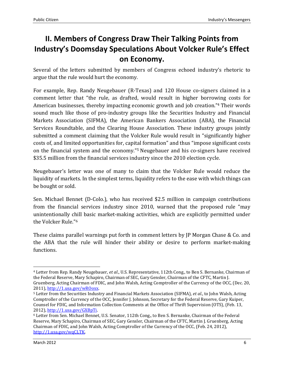### **II. Members of Congress Draw Their Talking Points from Industry's Doomsday Speculations About Volcker Rule's Effect on Economy.**

Several of the letters submitted by members of Congress echoed industry's rhetoric to argue that the rule would hurt the economy.

For example, Rep. Randy Neugebauer (R-Texas) and 120 House co-signers claimed in a comment letter that "the rule, as drafted, would result in higher borrowing costs for American businesses, thereby impacting economic growth and job creation."4 Their words sound much like those of pro-industry groups like the Securities Industry and Financial Markets Association (SIFMA), the American Bankers Association (ABA), the Financial Services Roundtable, and the Clearing House Association. These industry groups jointly submitted a comment claiming that the Volcker Rule would result in "significantly higher costs of, and limited opportunities for, capital formation" and thus "impose significant costs on the financial system and the economy."5 Neugebauer and his co-signers have received \$35.5 million from the financial services industry since the 2010 election cycle.

Neugebauer's letter was one of many to claim that the Volcker Rule would reduce the liquidity of markets. In the simplest terms, liquidity refers to the ease with which things can be bought or sold.

Sen. Michael Bennet (D-Colo.), who has received \$2.5 million in campaign contributions from the financial services industry since 2010, warned that the proposed rule "may unintentionally chill basic market-making activities, which are explicitly permitted under the Volcker Rule."<sup>6</sup>

These claims parallel warnings put forth in comment letters by JP Morgan Chase & Co. and the ABA that the rule will hinder their ability or desire to perform market-making functions.

<u>.</u>

<sup>4</sup> Letter from Rep. Randy Neugebauer, *et al*., U.S. Representative, 112th Cong., to Ben S. Bernanke, Chairman of the Federal Reserve, Mary Schapiro, Chairman of SEC, Gary Gensler, Chairman of the CFTC, Martin J. Gruenberg, Acting Chairman of FDIC, and John Walsh, Acting Comptroller of the Currency of the OCC, (Dec. 20, 2011), http://1.usa.gov/wROoxx.

<sup>5</sup> Letter from the Securities Industry and Financial Markets Association (SIFMA), *et al*., to John Walsh, Acting Comptroller of the Currency of the OCC, Jennifer J. Johnson, Secretary for the Federal Reserve, Gary Kuiper, Counsel for FDIC, and Information Collection Comments at the Office of Thrift Supervision (OTS), (Feb. 13, 2012), http://1.usa.gov/GXBpTi.

<sup>6</sup> Letter from Sen. Michael Bennet, U.S. Senator, 112th Cong., to Ben S. Bernanke, Chairman of the Federal Reserve, Mary Schapiro, Chairman of SEC, Gary Gensler, Chairman of the CFTC, Martin J. Gruenberg, Acting Chairman of FDIC, and John Walsh, Acting Comptroller of the Currency of the OCC, (Feb. 24, 2012), http://1.usa.gov/wqCLTK.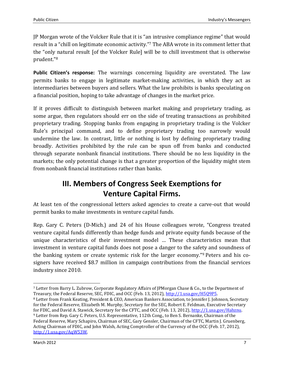JP Morgan wrote of the Volcker Rule that it is "an intrusive compliance regime" that would result in a "chill on legitimate economic activity." <sup>7</sup> The ABA wrote in its comment letter that the "only natural result [of the Volcker Rule] will be to chill investment that is otherwise prudent."<sup>8</sup>

**Public Citizen's response:** The warnings concerning liquidity are overstated. The law permits banks to engage in legitimate market-making activities, in which they act as intermediaries between buyers and sellers. What the law prohibits is banks speculating on a financial position, hoping to take advantage of changes in the market price.

If it proves difficult to distinguish between market making and proprietary trading, as some argue, then regulators should err on the side of treating transactions as prohibited proprietary trading. Stopping banks from engaging in proprietary trading is the Volcker Rule's principal command, and to define proprietary trading too narrowly would undermine the law. In contrast, little or nothing is lost by defining proprietary trading broadly. Activities prohibited by the rule can be spun off from banks and conducted through separate nonbank financial institutions. There should be no less liquidity in the markets; the only potential change is that a greater proportion of the liquidity might stem from nonbank financial institutions rather than banks.

### **III. Members of Congress Seek Exemptions for Venture Capital Firms.**

At least ten of the congressional letters asked agencies to create a carve-out that would permit banks to make investments in venture capital funds.

Rep. Gary C. Peters (D-Mich.) and 24 of his House colleagues wrote, "Congress treated venture capital funds differently than hedge funds and private equity funds because of the unique characteristics of their investment model … These characteristics mean that investment in venture capital funds does not pose a danger to the safety and soundness of the banking system or create systemic risk for the larger economy."9 Peters and his cosigners have received \$8.7 million in campaign contributions from the financial services industry since 2010.

**.** 

<sup>7</sup> Letter from Barry L. Zubrow, Corporate Regulatory Affairs of JPMorgan Chase & Co., to the Department of Treasury, the Federal Reserve, SEC, FDIC, and OCC (Feb. 13, 2012), http://1.usa.gov/H5Q9P5.

<sup>8</sup> Letter from Frank Keating, President & CEO, American Bankers Association, to Jennifer J. Johnson, Secretary for the Federal Reserve, Elizabeth M. Murphy, Secretary for the SEC, Robert E. Feldman, Executive Secretary for FDIC, and David A. Stawick, Secretary for the CFTC, and OCC (Feb. 13, 2012), http://1.usa.gov/Hahznu. <sup>9</sup> Letter from Rep. Gary C. Peters, U.S. Representative, 112th Cong., to Ben S. Bernanke, Chairman of the Federal Reserve, Mary Schapiro, Chairman of SEC, Gary Gensler, Chairman of the CFTC, Martin J. Gruenberg, Acting Chairman of FDIC, and John Walsh, Acting Comptroller of the Currency of the OCC (Feb. 17, 2012), http://1.usa.gov/AqW53W.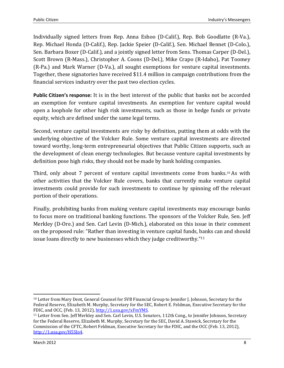Individually signed letters from Rep. Anna Eshoo (D-Calif.), Rep. Bob Goodlatte (R-Va.), Rep. Michael Honda (D-Calif.), Rep. Jackie Speier (D-Calif.), Sen. Michael Bennet (D-Colo.), Sen. Barbara Boxer (D-Calif.), and a jointly signed letter from Sens. Thomas Carper (D-Del.), Scott Brown (R-Mass.), Christopher A. Coons (D-Del.), Mike Crapo (R-Idaho), Pat Toomey (R-Pa.) and Mark Warner (D-Va.), all sought exemptions for venture capital investments. Together, these signatories have received \$11.4 million in campaign contributions from the financial services industry over the past two election cycles.

**Public Citizen's response:** It is in the best interest of the public that banks not be accorded an exemption for venture capital investments. An exemption for venture capital would open a loophole for other high risk investments, such as those in hedge funds or private equity, which are defined under the same legal terms.

Second, venture capital investments are risky by definition, putting them at odds with the underlying objective of the Volcker Rule. Some venture capital investments are directed toward worthy, long-term entrepreneurial objectives that Public Citizen supports, such as the development of clean energy technologies. But because venture capital investments by definition pose high risks, they should not be made by bank holding companies.

Third, only about 7 percent of venture capital investments come from banks.10 As with other activities that the Volcker Rule covers, banks that currently make venture capital investments could provide for such investments to continue by spinning off the relevant portion of their operations.

Finally, prohibiting banks from making venture capital investments may encourage banks to focus more on traditional banking functions. The sponsors of the Volcker Rule, Sen. Jeff Merkley (D-Ore.) and Sen. Carl Levin (D-Mich.), elaborated on this issue in their comment on the proposed rule: "Rather than investing in venture capital funds, banks can and should issue loans directly to new businesses which they judge creditworthy."<sup>11</sup>

 $\overline{a}$ <sup>10</sup> Letter from Mary Dent, General Counsel for SVB Financial Group to Jennifer J. Johnson, Secretary for the Federal Reserve, Elizabeth M. Murphy, Secretary for the SEC, Robert E. Feldman, Executive Secretary for the FDIC, and OCC, (Feb. 13, 2012), http://1.usa.gov/xFmYMS.

<sup>&</sup>lt;sup>11</sup> Letter from Sen. Jeff Merkley and Sen. Carl Levin, U.S. Senators, 112th Cong., to Jennifer Johnson, Secretary for the Federal Reserve, Elizabeth M. Murphy, Secretary for the SEC, David A. Stawick, Secretary for the Commission of the CFTC, Robert Feldman, Executive Secretary for the FDIC, and the OCC (Feb. 13, 2012), http://1.usa.gov/H5SJo4.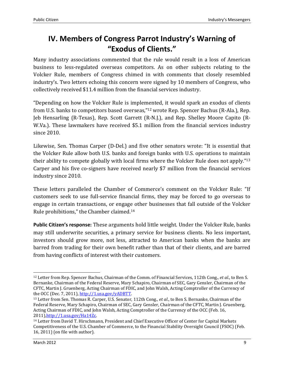### **IV. Members of Congress Parrot Industry's Warning of "Exodus of Clients."**

Many industry associations commented that the rule would result in a loss of American business to less-regulated overseas competitors. As on other subjects relating to the Volcker Rule, members of Congress chimed in with comments that closely resembled industry's. Two letters echoing this concern were signed by 10 members of Congress, who collectively received \$11.4 million from the financial services industry.

"Depending on how the Volcker Rule is implemented, it would spark an exodus of clients from U.S. banks to competitors based overseas,"12 wrote Rep. Spencer Bachus (R-Ala.), Rep. Jeb Hensarling (R-Texas), Rep. Scott Garrett (R-N.J.), and Rep. Shelley Moore Capito (R-W.Va.). These lawmakers have received \$5.1 million from the financial services industry since 2010.

Likewise, Sen. Thomas Carper (D-Del.) and five other senators wrote: "It is essential that the Volcker Rule allow both U.S. banks and foreign banks with U.S. operations to maintain their ability to compete globally with local firms where the Volcker Rule does not apply."<sup>13</sup> Carper and his five co-signers have received nearly \$7 million from the financial services industry since 2010.

These letters paralleled the Chamber of Commerce's comment on the Volcker Rule: "If customers seek to use full-service financial firms, they may be forced to go overseas to engage in certain transactions, or engage other businesses that fall outside of the Volcker Rule prohibitions," the Chamber claimed.<sup>14</sup>

**Public Citizen's response:** These arguments hold little weight. Under the Volcker Rule, banks may still underwrite securities, a primary service for business clients. No less important, investors should grow more, not less, attracted to American banks when the banks are barred from trading for their own benefit rather than that of their clients, and are barred from having conflicts of interest with their customers.

 $\overline{a}$ 

<sup>12</sup> Letter from Rep. Spencer Bachus, Chairman of the Comm. of Financial Services, 112th Cong., *et al*., to Ben S. Bernanke, Chairman of the Federal Reserve, Mary Schapiro, Chairman of SEC, Gary Gensler, Chairman of the CFTC, Martin J. Gruenberg, Acting Chairman of FDIC, and John Walsh, Acting Comptroller of the Currency of the OCC (Dec. 7, 2011), http://1.usa.gov/yADBTT.

<sup>13</sup> Letter from Sen. Thomas R. Carper, U.S. Senator, 112th Cong., *et al*., to Ben S. Bernanke, Chairman of the Federal Reserve, Mary Schapiro, Chairman of SEC, Gary Gensler, Chairman of the CFTC, Martin J. Gruenberg, Acting Chairman of FDIC, and John Walsh, Acting Comptroller of the Currency of the OCC (Feb. 16, 2011),http://1.usa.gov/Ha14Zc.

<sup>14</sup> Letter from David T. Hirschmann, President and Chief Executive Officer of Center for Capital Markets Competitiveness of the U.S. Chamber of Commerce, to the Financial Stability Oversight Council (FSOC) (Feb. 16, 2011) (on file with author).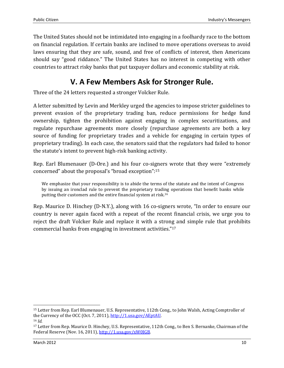The United States should not be intimidated into engaging in a foolhardy race to the bottom on financial regulation. If certain banks are inclined to move operations overseas to avoid laws ensuring that they are safe, sound, and free of conflicts of interest, then Americans should say "good riddance." The United States has no interest in competing with other countries to attract risky banks that put taxpayer dollars and economic stability at risk.

### **V. A Few Members Ask for Stronger Rule.**

Three of the 24 letters requested a stronger Volcker Rule.

A letter submitted by Levin and Merkley urged the agencies to impose stricter guidelines to prevent evasion of the proprietary trading ban, reduce permissions for hedge fund ownership, tighten the prohibition against engaging in complex securitizations, and regulate repurchase agreements more closely (repurchase agreements are both a key source of funding for proprietary trades and a vehicle for engaging in certain types of proprietary trading). In each case, the senators said that the regulators had failed to honor the statute's intent to prevent high-risk banking activity.

Rep. Earl Blumenauer (D-Ore.) and his four co-signers wrote that they were "extremely concerned" about the proposal's "broad exception":<sup>15</sup>

We emphasize that your responsibility is to abide the terms of the statute and the intent of Congress by issuing an ironclad rule to prevent the proprietary trading operations that benefit banks while putting their customers and the entire financial system at risk.<sup>16</sup>

Rep. Maurice D. Hinchey (D-N.Y.), along with 16 co-signers wrote, "In order to ensure our country is never again faced with a repeat of the recent financial crisis, we urge you to reject the draft Volcker Rule and replace it with a strong and simple rule that prohibits commercial banks from engaging in investment activities."<sup>17</sup>

<u>.</u>

<sup>15</sup> Letter from Rep. Earl Blumenauer, U.S. Representative, 112th Cong., to John Walsh, Acting Comptroller of the Currency of the OCC (Oct. 7, 2011), http://1.usa.gov/AEptAU. <sup>16</sup> *Id*.

<sup>17</sup> Letter from Rep. Maurice D. Hinchey, U.S. Representative, 112th Cong., to Ben S. Bernanke, Chairman of the Federal Reserve (Nov. 16, 2011), http://1.usa.gov/xW0JGB.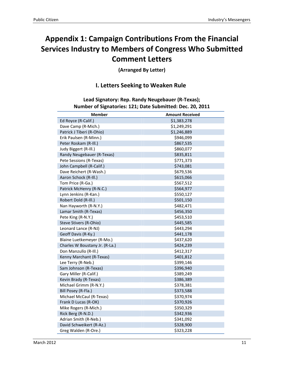### **Appendix 1: Campaign Contributions From the Financial Services Industry to Members of Congress Who Submitted Comment Letters**

**(Arranged By Letter)**

#### **I. Letters Seeking to Weaken Rule**

**Lead Signatory: Rep. Randy Neugebauer (R-Texas); Number of Signatories: 121; Date Submitted: Dec. 20, 2011**

| <b>Member</b>                  | <b>Amount Received</b> |
|--------------------------------|------------------------|
| Ed Royce (R-Calif.)            | \$1,383,278            |
| Dave Camp (R-Mich.)            | \$1,249,291            |
| Patrick J Tiberi (R-Ohio)      | \$1,246,889            |
| Erik Paulsen (R-Minn.)         | \$946,099              |
| Peter Roskam (R-III.)          | \$867,535              |
| Judy Biggert (R-Ill.)          | \$860,077              |
| Randy Neugebauer (R-Texas)     | \$835,811              |
| Pete Sessions (R-Texas)        | \$771,373              |
| John Campbell (R-Calif.)       | \$743,081              |
| Dave Reichert (R-Wash.)        | \$679,536              |
| Aaron Schock (R-III.)          | \$615,066              |
| Tom Price (R-Ga.)              | \$567,512              |
| Patrick McHenry (R-N.C.)       | \$564,977              |
| Lynn Jenkins (R-Kan.)          | \$550,127              |
| Robert Dold (R-III.)           | \$501,150              |
| Nan Hayworth (R-N.Y.)          | \$482,471              |
| Lamar Smith (R-Texas)          | \$456,350              |
| Pete King (R-N.Y.)             | \$453,510              |
| Steve Stivers (R-Ohio)         | \$445,585              |
| Leonard Lance (R-NJ)           | \$443,294              |
| Geoff Davis (R-Ky.)            | \$441,178              |
| Blaine Luetkemeyer (R-Mo.)     | \$437,620              |
| Charles W Boustany Jr. (R-La.) | \$424,239              |
| Don Manzullo (R-Ill.)          | \$412,317              |
| Kenny Marchant (R-Texas)       | \$401,812              |
| Lee Terry (R-Neb.)             | \$399,146              |
| Sam Johnson (R-Texas)          | \$396,940              |
| Gary Miller (R-Calif.)         | \$389,249              |
| Kevin Brady (R-Texas)          | \$386,389              |
| Michael Grimm (R-N.Y.)         | \$378,381              |
| Bill Posey (R-Fla.)            | \$373,588              |
| Michael McCaul (R-Texas)       | \$370,974              |
| Frank D Lucas (R-OK)           | \$370,926              |
| Mike Rogers (R-Mich.)          | \$350,329              |
| Rick Berg (R-N.D.)             | \$342,936              |
| Adrian Smith (R-Neb.)          | \$341,092              |
| David Schweikert (R-Az.)       | \$328,900              |
| Greg Walden (R-Ore.)           | \$323,228              |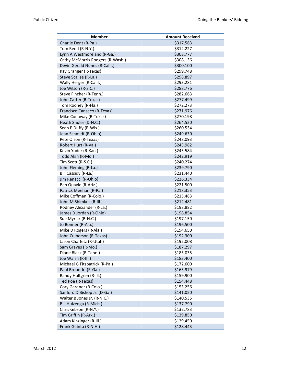| \$317,563<br>Charlie Dent (R-Pa.)<br>Tom Reed (R-N.Y.)<br>\$312,227<br>Lynn A Westmoreland (R-Ga.)<br>\$308,777<br>Cathy McMorris Rodgers (R-Wash.)<br>\$308,136<br>Devin Gerald Nunes (R-Calif.)<br>\$300,100<br>Kay Granger (R-Texas)<br>\$299,748 |
|------------------------------------------------------------------------------------------------------------------------------------------------------------------------------------------------------------------------------------------------------|
|                                                                                                                                                                                                                                                      |
|                                                                                                                                                                                                                                                      |
|                                                                                                                                                                                                                                                      |
|                                                                                                                                                                                                                                                      |
|                                                                                                                                                                                                                                                      |
|                                                                                                                                                                                                                                                      |
| Steve Scalise (R-La.)<br>\$298,897                                                                                                                                                                                                                   |
| Wally Herger (R-Calif.)<br>\$293,281                                                                                                                                                                                                                 |
| Joe Wilson (R-S.C.)<br>\$288,776                                                                                                                                                                                                                     |
| Steve Fincher (R-Tenn.)<br>\$282,663                                                                                                                                                                                                                 |
| John Carter (R-Texas)<br>\$277,499                                                                                                                                                                                                                   |
| \$272,273<br>Tom Rooney (R-Fla.)                                                                                                                                                                                                                     |
| Francisco Canseco (R-Texas)<br>\$271,976                                                                                                                                                                                                             |
| \$270,198<br>Mike Conaway (R-Texas)                                                                                                                                                                                                                  |
| Heath Shuler (D-N.C.)<br>\$264,520                                                                                                                                                                                                                   |
| Sean P Duffy (R-Wis.)<br>\$260,534                                                                                                                                                                                                                   |
| Jean Schmidt (R-Ohio)<br>\$249,630                                                                                                                                                                                                                   |
| Pete Olson (R-Texas)<br>\$248,093                                                                                                                                                                                                                    |
| Robert Hurt (R-Va.)<br>\$243,982                                                                                                                                                                                                                     |
| Kevin Yoder (R-Kan.)<br>\$243,584                                                                                                                                                                                                                    |
| Todd Akin (R-Mo.)<br>\$242,919                                                                                                                                                                                                                       |
| Tim Scott (R-S.C.)<br>\$240,274                                                                                                                                                                                                                      |
| John Fleming (R-La.)<br>\$239,790                                                                                                                                                                                                                    |
| \$231,440<br>Bill Cassidy (R-La.)                                                                                                                                                                                                                    |
| Jim Renacci (R-Ohio)<br>\$226,334                                                                                                                                                                                                                    |
| \$221,500<br>Ben Quayle (R-Ariz.)                                                                                                                                                                                                                    |
| Patrick Meehan (R-Pa.)<br>\$218,353                                                                                                                                                                                                                  |
| Mike Coffman (R-Colo.)<br>\$215,483                                                                                                                                                                                                                  |
| John M Shimkus (R-III.)<br>\$212,481                                                                                                                                                                                                                 |
| Rodney Alexander (R-La.)<br>\$198,882                                                                                                                                                                                                                |
| James D Jordan (R-Ohio)<br>\$198,854                                                                                                                                                                                                                 |
| Sue Myrick (R-N.C.)<br>\$197,150                                                                                                                                                                                                                     |
| Jo Bonner (R-Ala.)<br>\$196,500                                                                                                                                                                                                                      |
| Mike D Rogers (R-Ala.)<br>\$194,650                                                                                                                                                                                                                  |
| John Culberson (R-Texas)<br>\$192,300                                                                                                                                                                                                                |
| Jason Chaffetz (R-Utah)<br>\$192,008                                                                                                                                                                                                                 |
| \$187,297<br>Sam Graves (R-Mo.)                                                                                                                                                                                                                      |
| Diane Black (R-Tenn.)<br>\$185,035                                                                                                                                                                                                                   |
| Joe Walsh (R-III.)<br>\$183,400                                                                                                                                                                                                                      |
| Michael G Fitzpatrick (R-Pa.)<br>\$172,600                                                                                                                                                                                                           |
| Paul Broun Jr. (R-Ga.)<br>\$163,979                                                                                                                                                                                                                  |
| Randy Hultgren (R-III.)<br>\$159,900                                                                                                                                                                                                                 |
| Ted Poe (R-Texas)<br>\$154,448                                                                                                                                                                                                                       |
| Cory Gardner (R-Colo.)<br>\$153,256                                                                                                                                                                                                                  |
| Sanford D Bishop Jr. (D-Ga.)<br>\$141,050                                                                                                                                                                                                            |
| Walter B Jones Jr. (R-N.C.)<br>\$140,535                                                                                                                                                                                                             |
| Bill Huizenga (R-Mich.)<br>\$137,790                                                                                                                                                                                                                 |
| Chris Gibson (R-N.Y.)<br>\$132,783                                                                                                                                                                                                                   |
| Tim Griffin (R-Ark.)<br>\$129,850                                                                                                                                                                                                                    |
| Adam Kinzinger (R-Ill.)<br>\$129,450                                                                                                                                                                                                                 |
| Frank Guinta (R-N.H.)<br>\$128,443                                                                                                                                                                                                                   |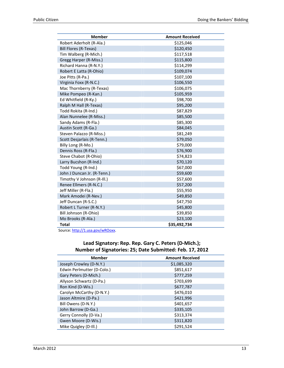| <b>Member</b>               | <b>Amount Received</b> |
|-----------------------------|------------------------|
| Robert Aderholt (R-Ala.)    | \$125,046              |
| Bill Flores (R-Texas)       | \$120,450              |
| Tim Walberg (R-Mich.)       | \$117,518              |
| Gregg Harper (R-Miss.)      | \$115,800              |
| Richard Hanna (R-N.Y.)      | \$114,299              |
| Robert E Latta (R-Ohio)     | \$109,074              |
| Joe Pitts (R-Pa.)           | \$107,100              |
| Virginia Foxx (R-N.C.)      | \$106,550              |
| Mac Thornberry (R-Texas)    | \$106,075              |
| Mike Pompeo (R-Kan.)        | \$105,959              |
| Ed Whitfield (R-Ky.)        | \$98,700               |
| Ralph M Hall (R-Texas)      | \$95,200               |
| Todd Rokita (R-Ind.)        | \$87,829               |
| Alan Nunnelee (R-Miss.)     | \$85,500               |
| Sandy Adams (R-Fla.)        | \$85,300               |
| Austin Scott (R-Ga.)        | \$84,045               |
| Steven Palazzo (R-Miss.)    | \$81,249               |
| Scott Desjarlais (R-Tenn.)  | \$79,050               |
| Billy Long (R-Mo.)          | \$79,000               |
| Dennis Ross (R-Fla.)        | \$76,900               |
| Steve Chabot (R-Ohio)       | \$74,823               |
| Larry Bucshon (R-Ind.)      | \$70,120               |
| Todd Young (R-Ind.)         | \$67,000               |
| John J Duncan Jr. (R-Tenn.) | \$59,600               |
| Timothy V Johnson (R-III.)  | \$57,600               |
| Renee Ellmers (R-N.C.)      | \$57,200               |
| Jeff Miller (R-Fla.)        | \$55,950               |
| Mark Amodei (R-Nev.)        | \$49,850               |
| Jeff Duncan (R-S.C.)        | \$47,750               |
| Robert L Turner (R-N.Y.)    | \$45,800               |
| Bill Johnson (R-Ohio)       | \$39,850               |
| Mo Brooks (R-Ala.)          | \$23,100               |
| <b>Total</b>                | \$35,492,734           |

Source: http://1.usa.gov/wROoxx.

#### **Lead Signatory: Rep. Rep. Gary C. Peters (D-Mich.); Number of Signatories: 25; Date Submitted: Feb. 17, 2012**

| <b>Member</b>              | <b>Amount Received</b> |
|----------------------------|------------------------|
| Joseph Crowley (D-N.Y.)    | \$1,085,320            |
| Edwin Perlmutter (D-Colo.) | \$851,617              |
| Gary Peters (D-Mich.)      | \$777,259              |
| Allyson Schwartz (D-Pa.)   | \$703,699              |
| Ron Kind (D-Wis.)          | \$677,787              |
| Carolyn McCarthy (D-N.Y.)  | \$476,010              |
| Jason Altmire (D-Pa.)      | \$421,996              |
| Bill Owens (D-N.Y.)        | \$401,657              |
| John Barrow (D-Ga.)        | \$335,105              |
| Gerry Connolly (D-Va.)     | \$313,374              |
| Gwen Moore (D-Wis.)        | \$311,820              |
| Mike Quigley (D-Ill.)      | \$291,524              |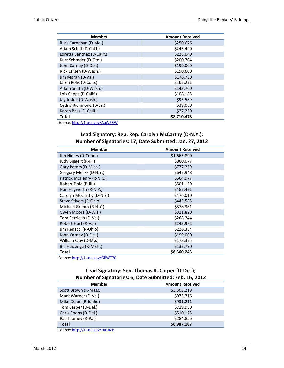| <b>Member</b>              | <b>Amount Received</b> |
|----------------------------|------------------------|
| Russ Carnahan (D-Mo.)      | \$250,676              |
| Adam Schiff (D-Calif.)     | \$243,490              |
| Loretta Sanchez (D-Calif.) | \$228,040              |
| Kurt Schrader (D-Ore.)     | \$200,704              |
| John Carney (D-Del.)       | \$199,000              |
| Rick Larsen (D-Wash.)      | \$190,600              |
| Jim Moran (D-Va.)          | \$176,750              |
| Jaren Polis (D-Colo.)      | \$162,271              |
| Adam Smith (D-Wash.)       | \$143,700              |
| Lois Capps (D-Calif.)      | \$108,185              |
| Jay Inslee (D-Wash.)       | \$93,589               |
| Cedric Richmond (D-La.)    | \$39,050               |
| Karen Bass (D-Calif.)      | \$27,250               |
| Total<br>$\cdots$          | \$8,710,473            |

Source: http://1.usa.gov/AqW53W.

#### **Lead Signatory: Rep. Rep. Carolyn McCarthy (D-N.Y.); Number of Signatories: 17; Date Submitted: Jan. 27, 2012**

| <b>Member</b>                               | <b>Amount Received</b> |
|---------------------------------------------|------------------------|
| Jim Himes (D-Conn.)                         | \$1,665,890            |
| Judy Biggert (R-Ill.)                       | \$860,077              |
| Gary Peters (D-Mich.)                       | \$777,259              |
| Gregory Meeks (D-N.Y.)                      | \$642,948              |
| Patrick McHenry (R-N.C.)                    | \$564,977              |
| Robert Dold (R-III.)                        | \$501,150              |
| Nan Hayworth (R-N.Y.)                       | \$482,471              |
| Carolyn McCarthy (D-N.Y.)                   | \$476,010              |
| Steve Stivers (R-Ohio)                      | \$445,585              |
| Michael Grimm (R-N.Y.)                      | \$378,381              |
| Gwen Moore (D-Wis.)                         | \$311,820              |
| Tom Perriello (D-Va.)                       | \$268,244              |
| Robert Hurt (R-Va.)                         | \$243,982              |
| Jim Renacci (R-Ohio)                        | \$226,334              |
| John Carney (D-Del.)                        | \$199,000              |
| William Clay (D-Mo.)                        | \$178,325              |
| Bill Huizenga (R-Mich.)                     | \$137,790              |
| Total                                       | \$8,360,243            |
| $\overline{\phantom{a}}$<br>$1 - 1 - 1 - 1$ |                        |

Source: http://1.usa.gov/GRWT70.

#### **Lead Signatory: Sen. Thomas R. Carper (D-Del.); Number of Signatories: 6; Date Submitted: Feb. 16, 2012**

| <b>Member</b>         | <b>Amount Received</b> |
|-----------------------|------------------------|
| Scott Brown (R-Mass.) | \$3,565,219            |
| Mark Warner (D-Va.)   | \$975,716              |
| Mike Crapo (R-Idaho)  | \$931,211              |
| Tom Carper (D-Del.)   | \$719,980              |
| Chris Coons (D-Del.)  | \$510,125              |
| Pat Toomey (R-Pa.)    | \$284,856              |
| <b>Total</b>          | \$6,987,107            |
| $\cdots$ $\cdots$     |                        |

Source: http://1.usa.gov/Ha14Zc.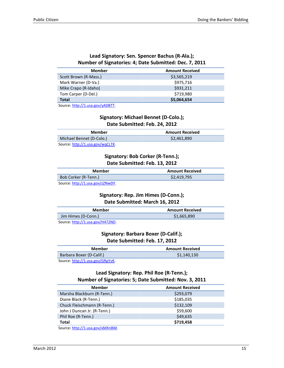#### **Lead Signatory: Sen. Spencer Bachus (R-Ala.); Number of Signatories: 4; Date Submitted: Dec. 7, 2011**

| Member                | <b>Amount Received</b> |
|-----------------------|------------------------|
| Scott Brown (R-Mass.) | \$3,565,219            |
| Mark Warner (D-Va.)   | \$975,716              |
| Mike Crapo (R-Idaho)  | \$931,211              |
| Tom Carper (D-Del.)   | \$719,980              |
| <b>Total</b>          | \$5,064,654            |
|                       |                        |

Source: http://1.usa.gov/yADBTT.

#### **Signatory: Michael Bennet (D-Colo.); Date Submitted: Feb. 24, 2012**

| Member                           | <b>Amount Received</b> |
|----------------------------------|------------------------|
| Michael Bennet (D-Colo.)         | \$2,461.890            |
| Source: http://1.usa.gov/wqCLTK. |                        |

#### **Signatory: Bob Corker (R-Tenn.); Date Submitted: Feb. 13, 2012**

| Member                           | <b>Amount Received</b> |
|----------------------------------|------------------------|
| Bob Corker (R-Tenn.)             | \$2,419.795            |
| Source: http://1.usa.gov/zZNwDY. |                        |

#### **Signatory: Rep. Jim Himes (D-Conn.); Date Submitted: March 16, 2012**

| Member              | <b>Amount Received</b> |
|---------------------|------------------------|
| Jim Himes (D-Conn.) | \$1,665,890            |
|                     |                        |

Source: http://1.usa.gov/H472ND.

#### **Signatory: Barbara Boxer (D-Calif.); Date Submitted: Feb. 17, 2012**

| Member                                                          | <b>Amount Received</b> |
|-----------------------------------------------------------------|------------------------|
| <b>Barbara Boxer (D-Calif.)</b>                                 | \$1,140,130            |
| $\mathbf{1}$ $\mathbf{1}$<br>$\sim$ $\sim$ $\sim$ $\sim$ $\sim$ |                        |

Source: http://1.usa.gov/GRpYvK.

#### **Lead Signatory: Rep. Phil Roe (R-Tenn.); Number of Signatories: 5; Date Submitted: Nov. 3, 2011**

| <b>Member</b>                    | <b>Amount Received</b> |
|----------------------------------|------------------------|
| Marsha Blackburn (R-Tenn.)       | \$293,079              |
| Diane Black (R-Tenn.)            | \$185,035              |
| Chuck Fleischmann (R-Tenn.)      | \$132,109              |
| John J Duncan Jr. (R-Tenn.)      | \$59,600               |
| Phil Roe (R-Tenn.)               | \$49,635               |
| <b>Total</b>                     | \$719,458              |
| Source: http://1.usa.gov/xMXnBM. |                        |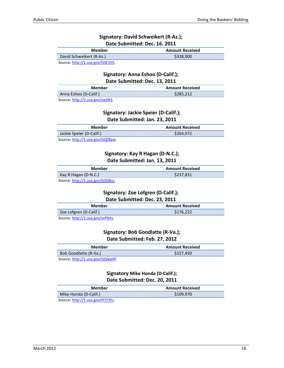#### **Signatory: David Schweikert (R-Az.); Date Submitted: Dec. 16. 2011**

| Member                   | <b>Amount Received</b> |
|--------------------------|------------------------|
| David Schweikert (R-Az.) | \$328,900              |
| S <sub>O</sub>           |                        |

Source: <u>http://1.usa.gov/GSE1h5</u>.

#### **Signatory: Anna Eshoo (D-Calif.); Date Submitted: Dec. 13, 2011**

| Member                | <b>Amount Received</b> |
|-----------------------|------------------------|
| Anna Eshoo (D-Calif.) | \$285.212              |
|                       |                        |

Source: http://1.usa.gov/xaJjN3.

#### **Signatory: Jackie Speier (D-Calif.); Date Submitted: Jan. 23, 2011**

| Member                                                   | <b>Amount Received</b> |
|----------------------------------------------------------|------------------------|
| Jackie Speier (D-Calif.)                                 | \$264,072              |
| $\mathbf{1}$ $\mathbf{1}$<br>$\sim$ $\sim$ $\sim$ $\sim$ |                        |

Source: http://1.usa.gov/GQZ8aw.

#### **Signatory: Kay R Hagan (D-N.C.); Date Submitted: Jan. 13, 2011**

| Member                           | <b>Amount Received</b> |
|----------------------------------|------------------------|
| Kay R Hagan (D-N.C.)             | \$237.831              |
| Source: http://1.usa.gov/GSGBns. |                        |

#### **Signatory: Zoe Lofgren (D-Calif.); Date Submitted: Dec. 23, 2011**

| Member                           | <b>Amount Received</b> |
|----------------------------------|------------------------|
| Zoe Lofgren (D-Calif.)           | \$176.222              |
| Source: http://1.usa.gov/yrPSHv. |                        |

#### **Signatory: Bob Goodlatte (R-Va.); Date Submitted: Feb. 27, 2012**

| Member                | <b>Amount Received</b> |
|-----------------------|------------------------|
| Bob Goodlatte (R-Va.) | \$157.450              |
| $\frac{1}{2}$         |                        |

Source: http://1.usa.gov/GQwp4P.

**Signatory Mike Honda (D-Calif.); Date Submitted: Dec. 20, 2011** 

| Member                           | <b>Amount Received</b> |
|----------------------------------|------------------------|
| Mike Honda (D-Calif.)            | \$109.970              |
| Source: http://1.usa.gov/H71YEz. |                        |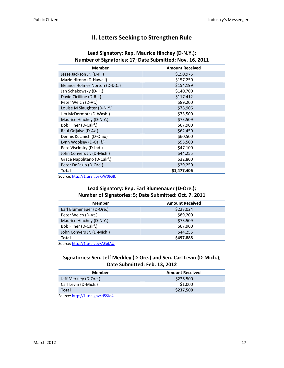#### **II. Letters Seeking to Strengthen Rule**

| <b>Member</b>                             | <b>Amount Received</b> |
|-------------------------------------------|------------------------|
| Jesse Jackson Jr. (D-Ill.)                | \$190,975              |
| Mazie Hirono (D-Hawaii)                   | \$157,250              |
| Eleanor Holmes Norton (D-D.C.)            | \$154,199              |
| Jan Schakowsky (D-III.)                   | \$140,700              |
| David Cicilline (D-R.I.)                  | \$117,412              |
| Peter Welch (D-Vt.)                       | \$89,200               |
| Louise M Slaughter (D-N.Y.)               | \$78,906               |
| Jim McDermott (D-Wash.)                   | \$75,500               |
| Maurice Hinchey (D-N.Y.)                  | \$73,509               |
| Bob Filner (D-Calif.)                     | \$67,900               |
| Raul Grijalva (D-Az.)                     | \$62,450               |
| Dennis Kucinich (D-Ohio)                  | \$60,500               |
| Lynn Woolsey (D-Calif.)                   | \$55,500               |
| Pete Visclosky (D-Ind.)                   | \$47,100               |
| John Conyers Jr. (D-Mich.)                | \$44,255               |
| Grace Napolitano (D-Calif.)               | \$32,800               |
| Peter DeFazio (D-Ore.)                    | \$29,250               |
| Total                                     | \$1,477,406            |
| $Conrrco:$ http://1 $_{11}$ ca.gov/vMQICD |                        |

#### **Lead Signatory: Rep. Maurice Hinchey (D-N.Y.); Number of Signatories: 17; Date Submitted: Nov. 16, 2011**

Source: http://1.usa.gov/xW0JGB.

#### **Lead Signatory: Rep. Earl Blumenauer (D-Ore.); Number of Signatories: 5; Date Submitted: Oct. 7. 2011**

| <b>Member</b>                        | <b>Amount Received</b> |
|--------------------------------------|------------------------|
| Earl Blumenauer (D-Ore.)             | \$223,024              |
| Peter Welch (D-Vt.)                  | \$89,200               |
| Maurice Hinchey (D-N.Y.)             | \$73,509               |
| Bob Filner (D-Calif.)                | \$67,900               |
| John Conyers Jr. (D-Mich.)           | \$44,255               |
| Total                                | \$497,888              |
| $Conrrco: h++n!/1$ use $gou/ACn+All$ |                        |

Source: http://1.usa.gov/AEptAU.

#### **Signatories: Sen. Jeff Merkley (D-Ore.) and Sen. Carl Levin (D-Mich.); Date Submitted: Feb. 13, 2012**

| Member                           | <b>Amount Received</b> |
|----------------------------------|------------------------|
| Jeff Merkley (D-Ore.)            | \$236,500              |
| Carl Levin (D-Mich.)             | \$1,000                |
| <b>Total</b>                     | \$237,500              |
| Source: http://1.usa.gov/H5SJo4. |                        |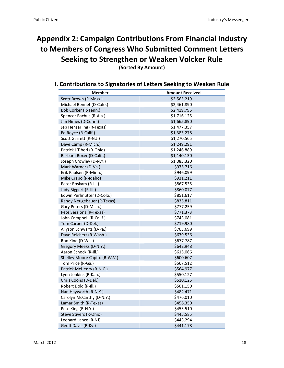### **Appendix 2: Campaign Contributions From Financial Industry to Members of Congress Who Submitted Comment Letters Seeking to Strengthen or Weaken Volcker Rule**

**(Sorted By Amount)** 

## **I. Contributions to Signatories of Letters Seeking to Weaken Rule**

| <b>Member</b>                 | <b>Amount Received</b> |
|-------------------------------|------------------------|
| Scott Brown (R-Mass.)         | \$3,565,219            |
| Michael Bennet (D-Colo.)      | \$2,461,890            |
| Bob Corker (R-Tenn.)          | \$2,419,795            |
| Spencer Bachus (R-Ala.)       | \$1,716,125            |
| Jim Himes (D-Conn.)           | \$1,665,890            |
| Jeb Hensarling (R-Texas)      | \$1,477,357            |
| Ed Royce (R-Calif.)           | \$1,383,278            |
| Scott Garrett (R-N.J.)        | \$1,270,565            |
| Dave Camp (R-Mich.)           | \$1,249,291            |
| Patrick J Tiberi (R-Ohio)     | \$1,246,889            |
| Barbara Boxer (D-Calif.)      | \$1,140,130            |
| Joseph Crowley (D-N.Y.)       | \$1,085,320            |
| Mark Warner (D-Va.)           | \$975,716              |
| Erik Paulsen (R-Minn.)        | \$946,099              |
| Mike Crapo (R-Idaho)          | \$931,211              |
| Peter Roskam (R-III.)         | \$867,535              |
| Judy Biggert (R-Ill.)         | \$860,077              |
| Edwin Perlmutter (D-Colo.)    | \$851,617              |
| Randy Neugebauer (R-Texas)    | \$835,811              |
| Gary Peters (D-Mich.)         | \$777,259              |
| Pete Sessions (R-Texas)       | \$771,373              |
| John Campbell (R-Calif.)      | \$743,081              |
| Tom Carper (D-Del.)           | \$719,980              |
| Allyson Schwartz (D-Pa.)      | \$703,699              |
| Dave Reichert (R-Wash.)       | \$679,536              |
| Ron Kind (D-Wis.)             | \$677,787              |
| Gregory Meeks (D-N.Y.)        | \$642,948              |
| Aaron Schock (R-III.)         | \$615,066              |
| Shelley Moore Capito (R-W.V.) | \$600,607              |
| Tom Price (R-Ga.)             | \$567,512              |
| Patrick McHenry (R-N.C.)      | \$564,977              |
| Lynn Jenkins (R-Kan.)         | \$550,127              |
| Chris Coons (D-Del.)          | \$510,125              |
| Robert Dold (R-III.)          | \$501,150              |
| Nan Hayworth (R-N.Y.)         | \$482,471              |
| Carolyn McCarthy (D-N.Y.)     | \$476,010              |
| Lamar Smith (R-Texas)         | \$456,350              |
| Pete King (R-N.Y.)            | \$453,510              |
| Steve Stivers (R-Ohio)        | \$445,585              |
| Leonard Lance (R-NJ)          | \$443,294              |
| Geoff Davis (R-Ky.)           | \$441,178              |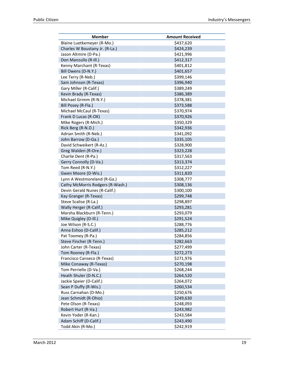| <b>Member</b>                    | <b>Amount Received</b> |
|----------------------------------|------------------------|
| Blaine Luetkemeyer (R-Mo.)       | \$437,620              |
| Charles W Boustany Jr. (R-La.)   | \$424,239              |
| Jason Altmire (D-Pa.)            | \$421,996              |
| Don Manzullo (R-Ill.)            | \$412,317              |
| Kenny Marchant (R-Texas)         | \$401,812              |
| Bill Owens (D-N.Y.)              | \$401,657              |
| Lee Terry (R-Neb.)               | \$399,146              |
| Sam Johnson (R-Texas)            | \$396,940              |
| Gary Miller (R-Calif.)           | \$389,249              |
| Kevin Brady (R-Texas)            | \$386,389              |
| Michael Grimm (R-N.Y.)           | \$378,381              |
| Bill Posey (R-Fla.)              | \$373,588              |
| Michael McCaul (R-Texas)         | \$370,974              |
| Frank D Lucas (R-OK)             | \$370,926              |
| Mike Rogers (R-Mich.)            | \$350,329              |
| Rick Berg (R-N.D.)               | \$342,936              |
| Adrian Smith (R-Neb.)            | \$341,092              |
| John Barrow (D-Ga.)              | \$335,105              |
| David Schweikert (R-Az.)         | \$328,900              |
| Greg Walden (R-Ore.)             | \$323,228              |
| Charlie Dent (R-Pa.)             | \$317,563              |
| Gerry Connolly (D-Va.)           | \$313,374              |
| Tom Reed (R-N.Y.)                | \$312,227              |
| Gwen Moore (D-Wis.)              | \$311,820              |
| Lynn A Westmoreland (R-Ga.)      | \$308,777              |
| Cathy McMorris Rodgers (R-Wash.) | \$308,136              |
| Devin Gerald Nunes (R-Calif.)    | \$300,100              |
| Kay Granger (R-Texas)            | \$299,748              |
| Steve Scalise (R-La.)            | \$298,897              |
| Wally Herger (R-Calif.)          | \$293,281              |
| Marsha Blackburn (R-Tenn.)       | \$293,079              |
| Mike Quigley (D-Ill.)            | \$291,524              |
| Joe Wilson (R-S.C.)              | \$288,776              |
| Anna Eshoo (D-Calif.)            | \$285,212              |
| Pat Toomey (R-Pa.)               | \$284,856              |
| Steve Fincher (R-Tenn.)          | \$282,663              |
| John Carter (R-Texas)            | \$277,499              |
| Tom Rooney (R-Fla.)              | \$272,273              |
| Francisco Canseco (R-Texas)      | \$271,976              |
| Mike Conaway (R-Texas)           | \$270,198              |
| Tom Perriello (D-Va.)            | \$268,244              |
| Heath Shuler (D-N.C.)            | \$264,520              |
| Jackie Speier (D-Calif.)         | \$264,072              |
| Sean P Duffy (R-Wis.)            | \$260,534              |
| Russ Carnahan (D-Mo.)            | \$250,676              |
| Jean Schmidt (R-Ohio)            | \$249,630              |
| Pete Olson (R-Texas)             | \$248,093              |
| Robert Hurt (R-Va.)              | \$243,982              |
| Kevin Yoder (R-Kan.)             | \$243,584              |
| Adam Schiff (D-Calif.)           | \$243,490              |
| Todd Akin (R-Mo.)                | \$242,919              |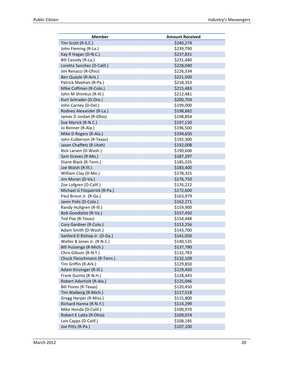| <b>Member</b>                 | <b>Amount Received</b> |
|-------------------------------|------------------------|
| Tim Scott (R-S.C.)            | \$240,274              |
| John Fleming (R-La.)          | \$239,790              |
| Kay R Hagan (D-N.C.)          | \$237,831              |
| Bill Cassidy (R-La.)          | \$231,440              |
| Loretta Sanchez (D-Calif.)    | \$228,040              |
| Jim Renacci (R-Ohio)          | \$226,334              |
| Ben Quayle (R-Ariz.)          | \$221,500              |
| Patrick Meehan (R-Pa.)        | \$218,353              |
| Mike Coffman (R-Colo.)        | \$215,483              |
| John M Shimkus (R-III.)       | \$212,481              |
| Kurt Schrader (D-Ore.)        | \$200,704              |
| John Carney (D-Del.)          | \$199,000              |
| Rodney Alexander (R-La.)      | \$198,882              |
| James D Jordan (R-Ohio)       | \$198,854              |
| Sue Myrick (R-N.C.)           | \$197,150              |
| Jo Bonner (R-Ala.)            | \$196,500              |
| Mike D Rogers (R-Ala.)        | \$194,650              |
| John Culberson (R-Texas)      | \$192,300              |
| Jason Chaffetz (R-Utah)       | \$192,008              |
| Rick Larsen (D-Wash.)         | \$190,600              |
| Sam Graves (R-Mo.)            | \$187,297              |
| Diane Black (R-Tenn.)         | \$185,035              |
| Joe Walsh (R-III.)            | \$183,400              |
| William Clay (D-Mo.)          | \$178,325              |
| Jim Moran (D-Va.)             | \$176,750              |
| Zoe Lofgren (D-Calif.)        | \$176,222              |
| Michael G Fitzpatrick (R-Pa.) | \$172,600              |
| Paul Broun Jr. (R-Ga.)        | \$163,979              |
| Jaren Polis (D-Colo.)         | \$162,271              |
| Randy Hultgren (R-III.)       | \$159,900              |
| Bob Goodlatte (R-Va.)         | \$157,450              |
| Ted Poe (R-Texas)             | \$154,448              |
| Cory Gardner (R-Colo.)        | \$153,256              |
| Adam Smith (D-Wash.)          | \$143,700              |
| Sanford D Bishop Jr. (D-Ga.)  | \$141,050              |
| Walter B Jones Jr. (R-N.C.)   | \$140,535              |
| Bill Huizenga (R-Mich.)       | \$137,790              |
| Chris Gibson (R-N.Y.)         | \$132,783              |
| Chuck Fleischmann (R-Tenn.)   | \$132,109              |
| Tim Griffin (R-Ark.)          | \$129,850              |
| Adam Kinzinger (R-III.)       | \$129,450              |
| Frank Guinta (R-N.H.)         | \$128,443              |
| Robert Aderholt (R-Ala.)      | \$125,046              |
| <b>Bill Flores (R-Texas)</b>  | \$120,450              |
| Tim Walberg (R-Mich.)         | \$117,518              |
| Gregg Harper (R-Miss.)        | \$115,800              |
| Richard Hanna (R-N.Y.)        | \$114,299              |
| Mike Honda (D-Calif.)         | \$109,970              |
| Robert E Latta (R-Ohio)       | \$109,074              |
| Lois Capps (D-Calif.)         | \$108,185              |
| Joe Pitts (R-Pa.)             | \$107,100              |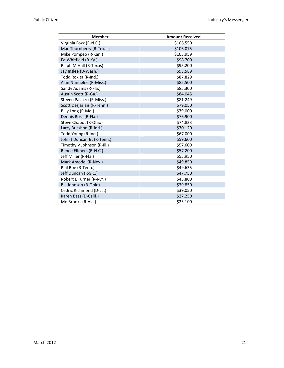| <b>Member</b>               | <b>Amount Received</b> |
|-----------------------------|------------------------|
| Virginia Foxx (R-N.C.)      | \$106,550              |
| Mac Thornberry (R-Texas)    | \$106,075              |
| Mike Pompeo (R-Kan.)        | \$105,959              |
| Ed Whitfield (R-Ky.)        | \$98,700               |
| Ralph M Hall (R-Texas)      | \$95,200               |
| Jay Inslee (D-Wash.)        | \$93,589               |
| Todd Rokita (R-Ind.)        | \$87,829               |
| Alan Nunnelee (R-Miss.)     | \$85,500               |
| Sandy Adams (R-Fla.)        | \$85,300               |
| Austin Scott (R-Ga.)        | \$84,045               |
| Steven Palazzo (R-Miss.)    | \$81,249               |
| Scott Desjarlais (R-Tenn.)  | \$79,050               |
| Billy Long (R-Mo.)          | \$79,000               |
| Dennis Ross (R-Fla.)        | \$76,900               |
| Steve Chabot (R-Ohio)       | \$74,823               |
| Larry Bucshon (R-Ind.)      | \$70,120               |
| Todd Young (R-Ind.)         | \$67,000               |
| John J Duncan Jr. (R-Tenn.) | \$59,600               |
| Timothy V Johnson (R-Ill.)  | \$57,600               |
| Renee Ellmers (R-N.C.)      | \$57,200               |
| Jeff Miller (R-Fla.)        | \$55,950               |
| Mark Amodei (R-Nev.)        | \$49,850               |
| Phil Roe (R-Tenn.)          | \$49,635               |
| Jeff Duncan (R-S.C.)        | \$47,750               |
| Robert L Turner (R-N.Y.)    | \$45,800               |
| Bill Johnson (R-Ohio)       | \$39,850               |
| Cedric Richmond (D-La.)     | \$39,050               |
| Karen Bass (D-Calif.)       | \$27,250               |
| Mo Brooks (R-Ala.)          | \$23,100               |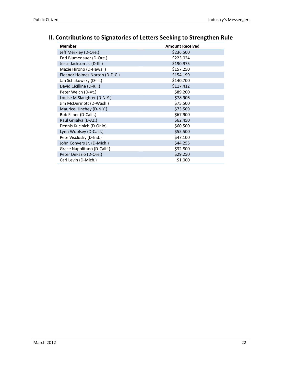### **II. Contributions to Signatories of Letters Seeking to Strengthen Rule**

| Member                         | <b>Amount Received</b> |
|--------------------------------|------------------------|
| Jeff Merkley (D-Ore.)          | \$236,500              |
| Earl Blumenauer (D-Ore.)       | \$223,024              |
| Jesse Jackson Jr. (D-III.)     | \$190,975              |
| Mazie Hirono (D-Hawaii)        | \$157,250              |
| Eleanor Holmes Norton (D-D.C.) | \$154,199              |
| Jan Schakowsky (D-III.)        | \$140,700              |
| David Cicilline (D-R.I.)       | \$117,412              |
| Peter Welch (D-Vt.)            | \$89,200               |
| Louise M Slaughter (D-N.Y.)    | \$78,906               |
| Jim McDermott (D-Wash.)        | \$75,500               |
| Maurice Hinchey (D-N.Y.)       | \$73,509               |
| Bob Filner (D-Calif.)          | \$67,900               |
| Raul Grijalva (D-Az.)          | \$62,450               |
| Dennis Kucinich (D-Ohio)       | \$60,500               |
| Lynn Woolsey (D-Calif.)        | \$55,500               |
| Pete Visclosky (D-Ind.)        | \$47,100               |
| John Conyers Jr. (D-Mich.)     | \$44,255               |
| Grace Napolitano (D-Calif.)    | \$32,800               |
| Peter DeFazio (D-Ore.)         | \$29,250               |
| Carl Levin (D-Mich.)           | \$1,000                |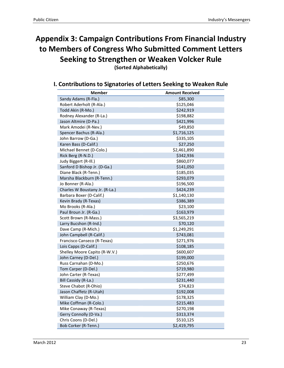### **Appendix 3: Campaign Contributions From Financial Industry to Members of Congress Who Submitted Comment Letters Seeking to Strengthen or Weaken Volcker Rule (Sorted Alphabetically)**

**Member Amount Received** Sandy Adams (R-Fla.) \$85,300 Robert Aderholt (R-Ala.) \$125,046  $\text{Total Akin (R-Mo.)}$   $\text{5242,919}$ Rodney Alexander (R-La.) \$198,882 Jason Altmire (D-Pa.) \$421,996 Mark Amodei (R-Nev.)  $$49,850$ Spencer Bachus (R-Ala.) \$1,716,125 John Barrow (D-Ga.) \$335,105 Karen Bass (D-Calif.) \$27,250 Michael Bennet (D-Colo.) \$2,461,890 Rick Berg (R-N.D.) \$342,936 Judy Biggert (R-III.) \$860,077 Sanford D Bishop Jr. (D-Ga.) \$141,050 Diane Black (R-Tenn.) \$185,035 Marsha Blackburn (R-Tenn.) \$293,079 Jo Bonner (R-Ala.) \$196,500 Charles W Boustany Jr. (R-La.) \$424,239 Barbara Boxer (D-Calif.) \$1,140,130 Kevin Brady (R-Texas) \$386,389 Mo Brooks (R-Ala.) \$23,100 Paul Broun Jr. (R-Ga.) \$163,979 Scott Brown (R-Mass.) \$3,565,219 Larry Bucshon (R-Ind.) \$70,120 Dave Camp (R-Mich.)  $$1,249,291$ John Campbell (R-Calif.) \$743,081 Francisco Canseco (R-Texas)  $$271,976$ Lois Capps (D-Calif.) \$108,185 Shelley Moore Capito (R-W.V.) \$600,607 John Carney (D-Del.) \$199,000 Russ Carnahan (D-Mo.) \$250,676 Tom Carper (D-Del.) \$719,980 John Carter (R-Texas)  $$277,499$ Bill Cassidy (R-La.) \$231,440 Steve Chabot (R-Ohio) \$74,823 Jason Chaffetz (R-Utah) \$192,008 William Clay (D-Mo.) \$178,325 Mike Coffman (R-Colo.) \$215,483 Mike Conaway (R-Texas)  $$270,198$ Gerry Connolly (D-Va.) \$313,374 Chris Coons (D-Del.) \$510,125 Bob Corker (R-Tenn.) \$2,419,795

**I. Contributions to Signatories of Letters Seeking to Weaken Rule**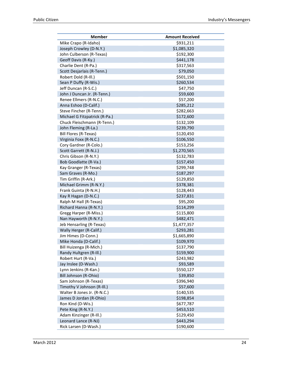| <b>Member</b>                 | <b>Amount Received</b> |
|-------------------------------|------------------------|
| Mike Crapo (R-Idaho)          | \$931,211              |
| Joseph Crowley (D-N.Y.)       | \$1,085,320            |
| John Culberson (R-Texas)      | \$192,300              |
| Geoff Davis (R-Ky.)           | \$441,178              |
| Charlie Dent (R-Pa.)          | \$317,563              |
| Scott Desjarlais (R-Tenn.)    | \$79,050               |
| Robert Dold (R-III.)          | \$501,150              |
| Sean P Duffy (R-Wis.)         | \$260,534              |
| Jeff Duncan (R-S.C.)          | \$47,750               |
| John J Duncan Jr. (R-Tenn.)   | \$59,600               |
| Renee Ellmers (R-N.C.)        | \$57,200               |
| Anna Eshoo (D-Calif.)         | \$285,212              |
| Steve Fincher (R-Tenn.)       | \$282,663              |
| Michael G Fitzpatrick (R-Pa.) | \$172,600              |
| Chuck Fleischmann (R-Tenn.)   | \$132,109              |
| John Fleming (R-La.)          | \$239,790              |
| Bill Flores (R-Texas)         | \$120,450              |
| Virginia Foxx (R-N.C.)        | \$106,550              |
| Cory Gardner (R-Colo.)        | \$153,256              |
| Scott Garrett (R-N.J.)        | \$1,270,565            |
| Chris Gibson (R-N.Y.)         | \$132,783              |
| Bob Goodlatte (R-Va.)         | \$157,450              |
| Kay Granger (R-Texas)         | \$299,748              |
| Sam Graves (R-Mo.)            | \$187,297              |
| Tim Griffin (R-Ark.)          | \$129,850              |
| Michael Grimm (R-N.Y.)        | \$378,381              |
| Frank Guinta (R-N.H.)         | \$128,443              |
| Kay R Hagan (D-N.C.)          | \$237,831              |
| Ralph M Hall (R-Texas)        | \$95,200               |
| Richard Hanna (R-N.Y.)        | \$114,299              |
| Gregg Harper (R-Miss.)        | \$115,800              |
| Nan Hayworth (R-N.Y.)         | \$482,471              |
| Jeb Hensarling (R-Texas)      | \$1,477,357            |
| Wally Herger (R-Calif.)       | \$293,281              |
| Jim Himes (D-Conn.)           | \$1,665,890            |
| Mike Honda (D-Calif.)         | \$109,970              |
| Bill Huizenga (R-Mich.)       | \$137,790              |
| Randy Hultgren (R-Ill.)       | \$159,900              |
| Robert Hurt (R-Va.)           | \$243,982              |
| Jay Inslee (D-Wash.)          | \$93,589               |
| Lynn Jenkins (R-Kan.)         | \$550,127              |
| Bill Johnson (R-Ohio)         | \$39,850               |
| Sam Johnson (R-Texas)         | \$396,940              |
| Timothy V Johnson (R-Ill.)    | \$57,600               |
| Walter B Jones Jr. (R-N.C.)   | \$140,535              |
| James D Jordan (R-Ohio)       | \$198,854              |
| Ron Kind (D-Wis.)             | \$677,787              |
| Pete King (R-N.Y.)            | \$453,510              |
| Adam Kinzinger (R-Ill.)       | \$129,450              |
| Leonard Lance (R-NJ)          | \$443,294              |
| Rick Larsen (D-Wash.)         | \$190,600              |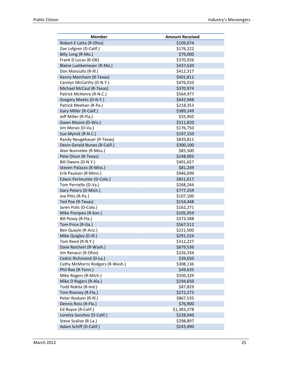| <b>Member</b>                    | <b>Amount Received</b> |
|----------------------------------|------------------------|
| Robert E Latta (R-Ohio)          | \$109,074              |
| Zoe Lofgren (D-Calif.)           | \$176,222              |
| Billy Long (R-Mo.)               | \$79,000               |
| Frank D Lucas (R-OK)             | \$370,926              |
| Blaine Luetkemeyer (R-Mo.)       | \$437,620              |
| Don Manzullo (R-III.)            | \$412,317              |
| Kenny Marchant (R-Texas)         | \$401,812              |
| Carolyn McCarthy (D-N.Y.)        | \$476,010              |
| Michael McCaul (R-Texas)         | \$370,974              |
| Patrick McHenry (R-N.C.)         | \$564,977              |
| Gregory Meeks (D-N.Y.)           | \$642,948              |
| Patrick Meehan (R-Pa.)           | \$218,353              |
| Gary Miller (R-Calif.)           | \$389,249              |
| Jeff Miller (R-Fla.)             | \$55,950               |
| Gwen Moore (D-Wis.)              | \$311,820              |
| Jim Moran (D-Va.)                | \$176,750              |
| Sue Myrick (R-N.C.)              | \$197,150              |
| Randy Neugebauer (R-Texas)       | \$835,811              |
| Devin Gerald Nunes (R-Calif.)    | \$300,100              |
| Alan Nunnelee (R-Miss.)          | \$85,500               |
| Pete Olson (R-Texas)             | \$248,093              |
| Bill Owens (D-N.Y.)              | \$401,657              |
| Steven Palazzo (R-Miss.)         | \$81,249               |
| Erik Paulsen (R-Minn.)           | \$946,099              |
| Edwin Perlmutter (D-Colo.)       | \$851,617              |
| Tom Perriello (D-Va.)            | \$268,244              |
| Gary Peters (D-Mich.)            | \$777,259              |
| Joe Pitts (R-Pa.)                | \$107,100              |
| Ted Poe (R-Texas)                | \$154,448              |
| Jaren Polis (D-Colo.)            | \$162,271              |
| Mike Pompeo (R-Kan.)             | \$105,959              |
| Bill Posey (R-Fla.)              | \$373,588              |
| Tom Price (R-Ga.)                | \$567,512              |
| Ben Quayle (R-Ariz.)             | \$221,500              |
| Mike Quigley (D-Ill.)            | \$291,524              |
| Tom Reed (R-N.Y.)                | \$312,227              |
| Dave Reichert (R-Wash.)          | \$679,536              |
| Jim Renacci (R-Ohio)             | \$226,334              |
| Cedric Richmond (D-La.)          | \$39,050               |
| Cathy McMorris Rodgers (R-Wash.) | \$308,136              |
| Phil Roe (R-Tenn.)               | \$49,635               |
| Mike Rogers (R-Mich.)            | \$350,329              |
| Mike D Rogers (R-Ala.)           | \$194,650              |
| Todd Rokita (R-Ind.)             | \$87,829               |
| Tom Rooney (R-Fla.)              | \$272,273              |
| Peter Roskam (R-Ill.)            | \$867,535              |
| Dennis Ross (R-Fla.)             | \$76,900               |
| Ed Royce (R-Calif.)              | \$1,383,278            |
| Loretta Sanchez (D-Calif.)       | \$228,040              |
| Steve Scalise (R-La.)            | \$298,897              |
| Adam Schiff (D-Calif.)           | \$243,490              |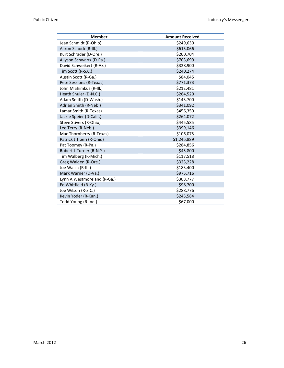| <b>Member</b>               | <b>Amount Received</b> |
|-----------------------------|------------------------|
| Jean Schmidt (R-Ohio)       | \$249,630              |
| Aaron Schock (R-Ill.)       | \$615,066              |
| Kurt Schrader (D-Ore.)      | \$200,704              |
| Allyson Schwartz (D-Pa.)    | \$703,699              |
| David Schweikert (R-Az.)    | \$328,900              |
| Tim Scott (R-S.C.)          | \$240,274              |
| Austin Scott (R-Ga.)        | \$84,045               |
| Pete Sessions (R-Texas)     | \$771,373              |
| John M Shimkus (R-Ill.)     | \$212,481              |
| Heath Shuler (D-N.C.)       | \$264,520              |
| Adam Smith (D-Wash.)        | \$143,700              |
| Adrian Smith (R-Neb.)       | \$341,092              |
| Lamar Smith (R-Texas)       | \$456,350              |
| Jackie Speier (D-Calif.)    | \$264,072              |
| Steve Stivers (R-Ohio)      | \$445,585              |
| Lee Terry (R-Neb.)          | \$399,146              |
| Mac Thornberry (R-Texas)    | \$106,075              |
| Patrick J Tiberi (R-Ohio)   | \$1,246,889            |
| Pat Toomey (R-Pa.)          | \$284,856              |
| Robert L Turner (R-N.Y.)    | \$45,800               |
| Tim Walberg (R-Mich.)       | \$117,518              |
| Greg Walden (R-Ore.)        | \$323,228              |
| Joe Walsh (R-III.)          | \$183,400              |
| Mark Warner (D-Va.)         | \$975,716              |
| Lynn A Westmoreland (R-Ga.) | \$308,777              |
| Ed Whitfield (R-Ky.)        | \$98,700               |
| Joe Wilson (R-S.C.)         | \$288,776              |
| Kevin Yoder (R-Kan.)        | \$243,584              |
| Todd Young (R-Ind.)         | \$67,000               |